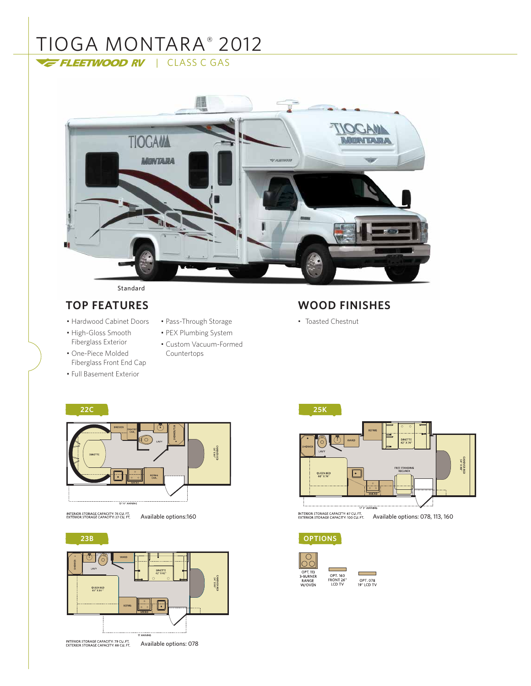# TIOGA MONTARA® 2012 FLEETWOOD RV | CLASS C GAS



#### Standard

- Hardwood Cabinet Doors
- High-Gloss Smooth Fiberglass Exterior
- One-Piece Molded Fiberglass Front End Cap
- Full Basement Exterior
- Pass-Through Storage
- PEX Plumbing System
- Custom Vacuum-Formed Countertops

## **TOP FEATURES WOOD FINISHES**

• Toasted Chestnut



INTERIOR STORAGE CAPACITY: 74 CU. FT.<br>EXTERIOR STORAGE CAPACITY: 27 CU. FT.

**23B** ⊙ ó .<br>Las CABOVER BEC<br>S4" X 80" QUEEN BED<br>60" X 80 "



**OPTIONS**



г ۰ OPT. 078<br>19" LCD TV